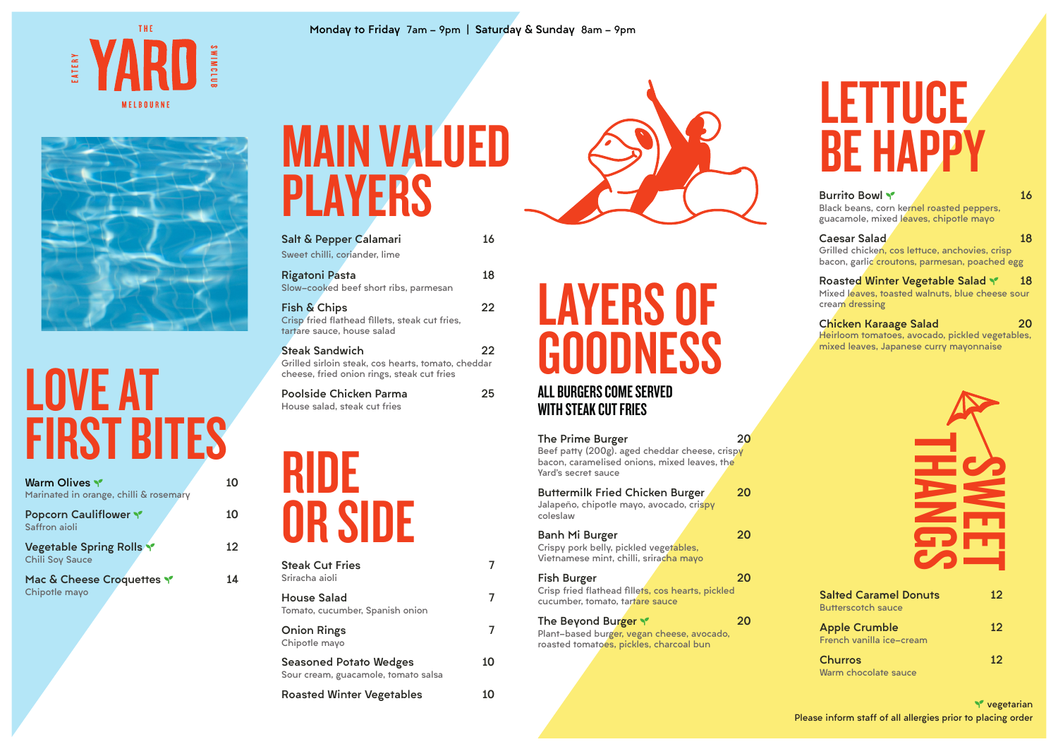| <b>The Prime Burger</b><br>Beef patty (200g). aged cheddar cheese, crispy<br>bacon, caramelised onions, mixed leaves, the<br>Yard's secret sauce | 20 |
|--------------------------------------------------------------------------------------------------------------------------------------------------|----|
| <b>Buttermilk Fried Chicken Burger</b><br>Jalapeño, chipotle mayo, avocado, crispy<br>coleslaw                                                   | 20 |
| Banh Mi Burger<br>Crispy pork belly, pickled vegetables,<br>Vietnamese mint, chilli, sriracha mayo                                               | 20 |
| Fish Burger<br>Crisp fried flathead fillets, cos hearts, pickled<br>cucumber, tomato, tartare sauce                                              | 20 |
| The Beyond Burger<br>Plant-based burger, vegan cheese, avocado,<br>roasted tomatoes, pickles, charcoal bun                                       | 20 |

**Y** vegetarian **Please inform staff of all allergies prior to placing order**

### LAYERS OF GOODNESS

#### ALL BURGERS COME SERVED WITH STEAK CUT FRIES

| Warm Olives<br>Marinated in orange, chilli & rosemary     | 10 |
|-----------------------------------------------------------|----|
| <b>Popcorn Cauliflower Y</b><br>Saffron aioli             | 10 |
| <b>Vegetable Spring Rolls Y</b><br><b>Chili Soy Sauce</b> | 12 |
| Mac & Cheese Croquettes<br>Chipotle mayo                  | 14 |

#### THE EATERY MELBOURNE



#### LOVE AT FIRST BITES



| Salt & Pepper Calamari                                                                                                                | 16 |
|---------------------------------------------------------------------------------------------------------------------------------------|----|
| Sweet chilli, coriander, lime                                                                                                         |    |
| <b>Rigatoni Pasta</b>                                                                                                                 | 18 |
| Slow-cooked beef short ribs, parmesan<br>Fish & Chips<br>Crisp fried flathead fillets, steak cut fries,<br>tartare sauce, house salad | 22 |
| <b>Steak Sandwich</b><br>Grilled sirloin steak, cos hearts, tomato, cheddar<br>cheese, fried onion rings, steak cut fries             | 22 |
| Poolside Chicken Parma<br>House salad, steak cut fries                                                                                | 25 |

**Black beans, corn kernel roasted peppers, guacamole, mixed leaves, chipotle mayo**

#### **Caesar Salad 18**

**Grilled chicken, cos lettuce, anchovies, crisp bacon, garlic croutons, parmesan, poached egg**

#### Roasted Winter Vegetable Salad Y 18

**Mixed leaves, toasted walnuts, blue cheese sour cream dressing**

#### Chicken Karaage Salad 20

**Heirloom tomatoes, avocado, pickled vegetables, mixed leaves, Japanese curry mayonnaise**

| <b>Steak Cut Fries</b><br>Sriracha aioli                             |    |
|----------------------------------------------------------------------|----|
| <b>House Salad</b><br>Tomato, cucumber, Spanish onion                | 7  |
| <b>Onion Rings</b><br>Chipotle mayo                                  | 7  |
| <b>Seasoned Potato Wedges</b><br>Sour cream, guacamole, tomato salsa | 10 |
| <b>Roasted Winter Vegetables</b>                                     |    |



#### MAIN VALUED PLAYERS

#### LETTUCE BE HAPPY

#### Burrito Bowl SEEDLING 16

### RIDE OR SIDE

#### Monday to Friday **7am - 9pm |** Saturday & Sunday **8am - 9pm**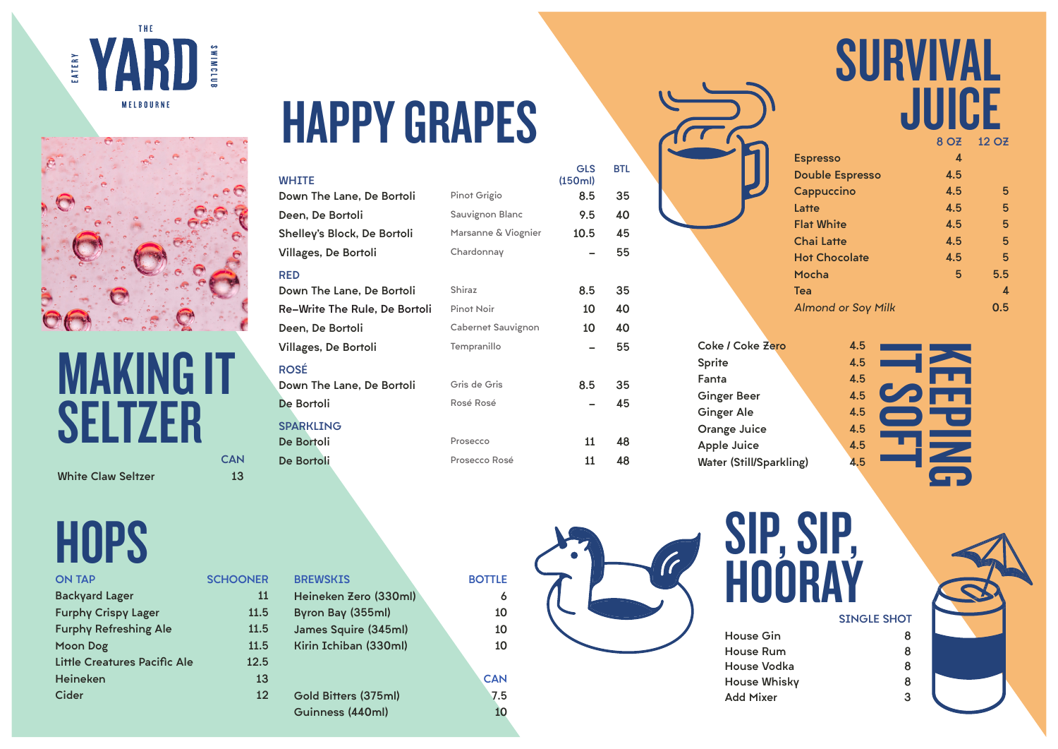# HAPPY GRAPES

| <b>ON TAP</b>                | <b>SCHOONER</b> |
|------------------------------|-----------------|
| <b>Backyard Lager</b>        | 11              |
| <b>Furphy Crispy Lager</b>   | 11.5            |
| <b>Furphy Refreshing Ale</b> | 11.5            |
| <b>Moon Dog</b>              | 11.5            |
| Little Creatures Pacific Ale | 12.5            |
| <b>Heineken</b>              | 13              |
| <b>Cider</b>                 | 12              |
|                              |                 |

| ER             | <b>BREWSKIS</b>       | <b>BOTTLE</b> |
|----------------|-----------------------|---------------|
| 11             | Heineken Zero (330ml) | 6             |
| .5             | Byron Bay (355ml)     | 10            |
| .5             | James Squire (345ml)  | 10            |
| .5             | Kirin Ichiban (330ml) | 10            |
| .5             |                       |               |
| <b>13</b>      |                       | <b>CAN</b>    |
| $\overline{2}$ | Gold Bitters (375ml)  | 7.5           |
|                | Guinness (440ml)      | 10            |
|                |                       |               |



|                           |     | 8 OZ 12 OZ |
|---------------------------|-----|------------|
| <b>Espresso</b>           | 4   |            |
| <b>Double Espresso</b>    | 4.5 |            |
| Cappuccino                | 4.5 | 5          |
| Latte                     | 4.5 | 5          |
| <b>Flat White</b>         | 4.5 | 5          |
| <b>Chai Latte</b>         | 4.5 | 5          |
| <b>Hot Chocolate</b>      | 4.5 | 5          |
| Mocha                     | 5   | 5.5        |
| Tea                       |     | 4          |
| <b>Almond or Soy Milk</b> |     | 0.5        |
|                           |     |            |

#### SURVIVAL JUICE

GLS

BTL



Coke / Coke Zero 4.5 Sprite 4.5 Fanta 4.5 Ginger Beer 1.5 Ginger Ale 4.5 Orange Juice 4.5 Apple Juice 4.5 Water (Still/Sparkling) 4.5





#### MAKING IT SELTZER **CAN**

White Claw Seltzer 13

## **HOPS**

| <b>WHITE</b>                         |                           | <b>GLS</b><br>(150ml) | <b>BTL</b> |
|--------------------------------------|---------------------------|-----------------------|------------|
| Down The Lane, De Bortoli            | Pinot Grigio              | 8.5                   | 35         |
| Deen, De Bortoli                     | <b>Sauvignon Blanc</b>    | 9.5                   | 40         |
| Shelley's Block, De Bortoli          | Marsanne & Viognier       | 10.5                  | 45         |
| <b>Villages, De Bortoli</b>          | Chardonnay                |                       | 55         |
| <b>RED</b>                           |                           |                       |            |
| Down The Lane, De Bortoli            | <b>Shiraz</b>             | 8.5                   | 35         |
| <b>Re-Write The Rule, De Bortoli</b> | <b>Pinot Noir</b>         | 10                    | 40         |
| Deen, De Bortoli                     | <b>Cabernet Sauvignon</b> | 10                    | 40         |
| <b>Villages, De Bortoli</b>          | Tempranillo               |                       | 55         |
| <b>ROSÉ</b>                          |                           |                       |            |
| Down The Lane, De Bortoli            | Gris de Gris              | 8.5                   | 35         |
| De Bortoli                           | Rosé Rosé                 |                       | 45         |
| <b>SPARKLING</b>                     |                           |                       |            |
| De Bortoli                           | Prosecco                  | 11                    | 48         |

| WHITE                                |                           | (150ml) |    |
|--------------------------------------|---------------------------|---------|----|
| Down The Lane, De Bortoli            | Pinot Grigio              | 8.5     | 35 |
| Deen, De Bortoli                     | <b>Sauvignon Blanc</b>    | 9.5     | 40 |
| Shelley's Block, De Bortoli          | Marsanne & Viognier       | 10.5    | 45 |
| Villages, De Bortoli                 | Chardonnay                |         | 55 |
| <b>RED</b>                           |                           |         |    |
| Down The Lane, De Bortoli            | <b>Shiraz</b>             | 8.5     | 35 |
| <b>Re-Write The Rule, De Bortoli</b> | <b>Pinot Noir</b>         | 10      | 40 |
| Deen, De Bortoli                     | <b>Cabernet Sauvignon</b> | 10      | 40 |
| Villages, De Bortoli                 | Tempranillo               |         | 55 |
| <b>ROSÉ</b>                          |                           |         |    |
| Down The Lane, De Bortoli            | Gris de Gris              | 8.5     | 35 |
| De Bortoli                           | Rosé Rosé                 |         | 45 |
| <b>SPARKLING</b>                     |                           |         |    |
| De Bortoli                           | Prosecco                  | 11      | 48 |
| De Bortoli                           | Prosecco Rosé             | 11      | 48 |
|                                      |                           |         |    |

IT SOFT KEEPING

# SIP, SIP,